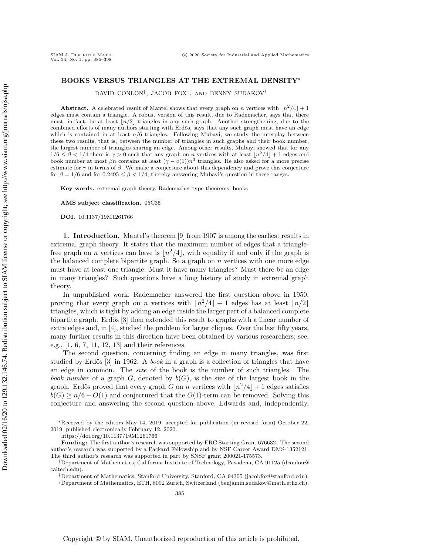## BOOKS VERSUS TRIANGLES AT THE EXTREMAL DENSITY\*

DAVID CONLON<sup>†</sup>, JACOB FOX<sup>‡</sup>, AND BENNY SUDAKOV<sup>§</sup>

**Abstract.** A celebrated result of Mantel shows that every graph on n vertices with  $\lfloor n^2/4\rfloor + 1$ edges must contain a triangle. A robust version of this result, due to Rademacher, says that there must, in fact, be at least  $\lfloor n/2\rfloor$  triangles in any such graph. Another strengthening, due to the combined efforts of many authors starting with Erd $\delta$ s, says that any such graph must have an edge which is contained in at least  $n/6$  triangles. Following Mubayi, we study the interplay between these two results, that is, between the number of triangles in such graphs and their book number, the largest number of triangles sharing an edge. Among other results, Mubayi showed that for any  $1/6 \leq \beta < 1/4$  there is  $\gamma > 0$  such that any graph on n vertices with at least  $\left|n^2/4\right| + 1$  edges and book number at most  $\beta n$  contains at least  $(\gamma - o(1))n^3$  triangles. He also asked for a more precise estimate for  $\gamma$  in terms of  $\beta$ . We make a conjecture about this dependency and prove this conjecture for  $\beta = 1/6$  and for  $0.2495 \leq \beta < 1/4$ , thereby answering Mubayi's question in these ranges.

Key words. extremal graph theory, Rademacher-type theorems, books

AMS subject classification. 05C35

DOI. 10.1137/19M1261766

SIAM J. DISCRETE MATH.<br>Vol. 34, No. 1, pp. 385-398

1. Introduction. Mantel's theorem [\[9\]](#page-12-0) from 1907 is among the earliest results in extremal graph theory. It states that the maximum number of edges that a trianglefree graph on *n* vertices can have is  $\lfloor n^2/4 \rfloor$ , with equality if and only if the graph is the balanced complete bipartite graph. So a graph on  $n$  vertices with one more edge must have at least one triangle. Must it have many triangles? Must there be an edge in many triangles? Such questions have a long history of study in extremal graph theory.

In unpublished work, Rademacher answered the first question above in 1950, proving that every graph on n vertices with  $\left|n^2/4\right| + 1$  edges has at least  $\left|n/2\right|$ triangles, which is tight by adding an edge inside the larger part of a balanced complete bipartite graph. Erdős [\[3\]](#page-12-1) then extended this result to graphs with a linear number of extra edges and, in [\[4\]](#page-12-2), studied the problem for larger cliques. Over the last fifty years, many further results in this direction have been obtained by various researchers; see, e.g., [\[1,](#page-12-3) [6,](#page-12-4) [7,](#page-12-5) [11,](#page-13-0) [12,](#page-13-1) [13\]](#page-13-2) and their references.

The second question, concerning finding an edge in many triangles, was first studied by Erdős  $[3]$  in 1962. A book in a graph is a collection of triangles that have an edge in common. The size of the book is the number of such triangles. The book number of a graph G, denoted by  $b(G)$ , is the size of the largest book in the graph. Erdős proved that every graph G on n vertices with  $\lfloor n^2/4\rfloor + 1$  edges satisfies  $b(G) \geq n/6 - O(1)$  and conjectured that the  $O(1)$ -term can be removed. Solving this conjecture and answering the second question above, Edwards and, independently,

<sup>\*</sup>Received by the editors May 14, 2019; accepted for publication (in revised form) October 22, 2019; published electronically February 12, 2020.

<https://doi.org/10.1137/19M1261766>

Funding: The first author's research was supported by ERC Starting Grant 676632. The second author's research was supported by a Packard Fellowship and by NSF Career Award DMS-1352121. The third author's research was supported in part by SNSF grant 200021-175573.

<sup>&</sup>lt;sup>†</sup>Department of Mathematics, California Institute of Technology, Pasadena, CA 91125 (dconlon<sup>@</sup> [caltech.edu\)](mailto:dconlon@caltech.edu).

<sup>&</sup>lt;sup>‡</sup>Department of Mathematics, Stanford University, Stanford, CA 94305 [\(jacobfox@stanford.edu\)](mailto:jacobfox@stanford.edu).

 $\S$  Department of Mathematics, ETH, 8092 Zurich, Switzerland [\(benjamin.sudakov@math.ethz.ch\)](mailto:benjamin.sudakov@math.ethz.ch).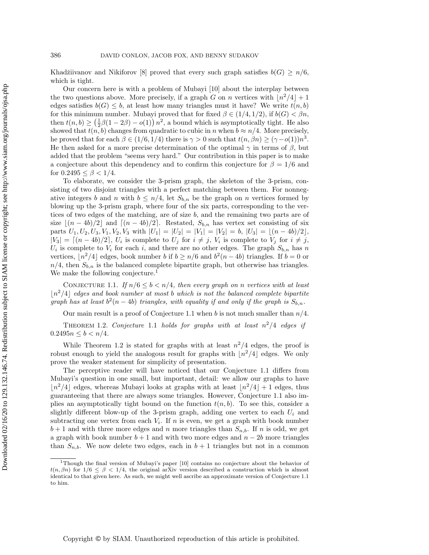Khadžiivanov and Nikiforov [\[8\]](#page-12-6) proved that every such graph satisfies  $b(G) \geq n/6$ , which is tight.

Our concern here is with a problem of Mubayi [\[10\]](#page-13-3) about the interplay between the two questions above. More precisely, if a graph G on n vertices with  $\lfloor n^2/4\rfloor + 1$ edges satisfies  $b(G) \leq b$ , at least how many triangles must it have? We write  $t(n, b)$ for this minimum number. Mubayi proved that for fixed  $\beta \in (1/4, 1/2)$ , if  $b(G) < \beta n$ , then  $t(n, b) \geq \left( \frac{1}{2}\beta (1 - 2\beta) - o(1) \right) n^2$ , a bound which is asymptotically tight. He also showed that  $t(n, b)$  changes from quadratic to cubic in n when  $b \approx n/4$ . More precisely, he proved that for each  $\beta \in (1/6, 1/4)$  there is  $\gamma > 0$  such that  $t(n, \beta n) \geq (\gamma - o(1))n^3$ . He then asked for a more precise determination of the optimal  $\gamma$  in terms of  $\beta$ , but added that the problem "seems very hard." Our contribution in this paper is to make a conjecture about this dependency and to confirm this conjecture for  $\beta = 1/6$  and for  $0.2495 \leq \beta < 1/4$ .

To elaborate, we consider the 3-prism graph, the skeleton of the 3-prism, consisting of two disjoint triangles with a perfect matching between them. For nonnegative integers b and n with  $b \leq n/4$ , let  $S_{b,n}$  be the graph on n vertices formed by blowing up the 3-prism graph, where four of the six parts, corresponding to the vertices of two edges of the matching, are of size b, and the remaining two parts are of size  $\lfloor (n - 4b)/2\rfloor$  and  $\lfloor (n - 4b)/2\rfloor$ . Restated,  $S_{b,n}$  has vertex set consisting of six parts  $U_1, U_2, U_3, V_1, V_2, V_3$  with  $|U_1| = |U_2| = |V_1| = |V_2| = b$ ,  $|U_3| = \lfloor (n - 4b)/2\rfloor$ ,  $|V_3| = \left[ (n - 4b)/2 \right]$ ,  $U_i$  is complete to  $U_j$  for  $i \neq j$ ,  $V_i$  is complete to  $V_j$  for  $i \neq j$ ,  $U_i$  is complete to  $V_i$  for each i, and there are no other edges. The graph  $S_{b,n}$  has n vertices,  $\lfloor n^2/4 \rfloor$  edges, book number b if  $b \geq n/6$  and  $b^2(n - 4b)$  triangles. If  $b = 0$  or  $n/4$ , then  $S_{b,n}$  is the balanced complete bipartite graph, but otherwise has triangles. We make the following conjecture.<sup>[1](#page-1-0)</sup>

<span id="page-1-1"></span>CONJECTURE 1.1. If  $n/6 \leq b < n/4$ , then every graph on n vertices with at least  $\lfloor n^2/4\rfloor$  edges and book number at most b which is not the balanced complete bipartite graph has at least  $b^2(n-4b)$  triangles, with equality if and only if the graph is  $S_{b,n}$ .

Our main result is a proof of Conjecture [1.1](#page-1-1) when b is not much smaller than  $n/4$ .

<span id="page-1-2"></span>THEOREM 1.2. Conjecture [1.1](#page-1-1) holds for graphs with at least  $n^2/4$  edges if  $0.2495n \leq b < n/4$ .

While Theorem [1.2](#page-1-2) is stated for graphs with at least  $n^2/4$  edges, the proof is robust enough to yield the analogous result for graphs with  $\lfloor n^2/4\rfloor$  edges. We only prove the weaker statement for simplicity of presentation.

The perceptive reader will have noticed that our Conjecture [1.1](#page-1-1) differs from Mubayi's question in one small, but important, detail: we allow our graphs to have  $\lfloor n^2/4\rfloor$  edges, whereas Mubayi looks at graphs with at least  $\lfloor n^2/4\rfloor + 1$  edges, thus guaranteeing that there are always some triangles. However, Conjecture [1.1](#page-1-1) also implies an asymptotically tight bound on the function  $t(n, b)$ . To see this, consider a slightly different blow-up of the 3-prism graph, adding one vertex to each  $U_i$  and subtracting one vertex from each  $V_i$ . If n is even, we get a graph with book number  $b+1$  and with three more edges and n more triangles than  $S_{n,b}$ . If n is odd, we get a graph with book number  $b + 1$  and with two more edges and  $n - 2b$  more triangles than  $S_{n,b}$ . We now delete two edges, each in  $b+1$  triangles but not in a common

<span id="page-1-0"></span><sup>1</sup>Though the final version of Mubayi's paper [\[10\]](#page-13-3) contains no conjecture about the behavior of  $t(n, \beta n)$  for  $1/6 \leq \beta < 1/4$ , the original arXiv version described a construction which is almost identical to that given here. As such, we might well ascribe an approximate version of Conjecture [1.1](#page-1-1) to him.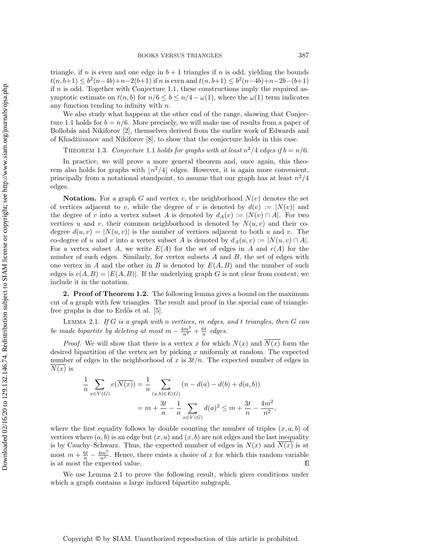Downloaded 02/16/20 to 129.132.146.74. Redistribution subject to SIAM license or copyright; see http://www.siam.org/journals/ojsa.php Downloaded 02/16/20 to 129.132.146.74. Redistribution subject to SIAM license or copyright; see http://www.siam.org/journals/ojsa.php

triangle, if n is even and one edge in  $b + 1$  triangles if n is odd, yielding the bounds  $t(n, b+1) \leq b^2(n-4b)+n-2(b+1)$  if n is even and  $t(n, b+1) \leq b^2(n-4b)+n-2b-(b+1)$ if  $n$  is odd. Together with Conjecture [1.1,](#page-1-1) these constructions imply the required asymptotic estimate on  $t(n, b)$  for  $n/6 \leq b \leq n/4 - \omega (1)$ , where the  $\omega (1)$  term indicates any function tending to infinity with n.

We also study what happens at the other end of the range, showing that Conjec-ture [1.1](#page-1-1) holds for  $b = n/6$ . More precisely, we will make use of results from a paper of Bollobás and Nikiforov [\[2\]](#page-12-7), themselves derived from the earlier work of Edwards and of Khadžiivanov and Nikiforov  $[8]$ , to show that the conjecture holds in this case.

<span id="page-2-2"></span>THEOREM 1.3. Conjecture [1.1](#page-1-1) holds for graphs with at least  $n^2/4$  edges if  $b = n/6$ .

In practice, we will prove a more general theorem and, once again, this theorem also holds for graphs with  $\lfloor n^2/4\rfloor$  edges. However, it is again more convenient, principally from a notational standpoint, to assume that our graph has at least  $n^2/4$ edges.

**Notation.** For a graph G and vertex v, the neighborhood  $N(v)$  denotes the set of vertices adjacent to v, while the degree of v is denoted by  $d(v) := |N(v)|$  and the degree of v into a vertex subset A is denoted by  $d_A(v) := |N(v) \cap A|$ . For two vertices u and v, their common neighborhood is denoted by  $N(u, v)$  and their codegree  $d(u, v) = |N(u, v)|$  is the number of vertices adjacent to both u and v. The co-degree of u and v into a vertex subset A is denoted by  $d_A(u, v) := |N(u, v) \cap A|$ . For a vertex subset A, we write  $E(A)$  for the set of edges in A and  $e(A)$  for the number of such edges. Similarly, for vertex subsets A and B, the set of edges with one vertex in A and the other in B is denoted by  $E(A, B)$  and the number of such edges is  $e(A, B) = |E(A, B)|$ . If the underlying graph G is not clear from context, we include it in the notation.

2. Proof of Theorem [1.2.](#page-1-2) The following lemma gives a bound on the maximum cut of a graph with few triangles. The result and proof in the special case of trianglefree graphs is due to Erd $\ddot{\circ}$  et al. [\[5\]](#page-12-8).

<span id="page-2-0"></span>LEMMA 2.1. If  $G$  is a graph with n vertices,  $m$  edges, and t triangles, then  $G$  can be made bipartite by deleting at most  $m - \frac{4m^2}{n^2} + \frac{6t}{n}$  edges.

*Proof.* We will show that there is a vertex x for which  $N(x)$  and  $N(x)$  form the desired bipartition of the vertex set by picking x uniformly at random. The expected number of edges in the neighborhood of x is  $3t/n$ . The expected number of edges in  $N(x)$  is

$$
\frac{1}{n} \sum_{x \in V(G)} e(\overline{N(x)}) = \frac{1}{n} \sum_{(a,b) \in E(G)} (n - d(a) - d(b) + d(a,b))
$$

$$
= m + \frac{3t}{n} - \frac{1}{n} \sum_{a \in V(G)} d(a)^2 \le m + \frac{3t}{n} - \frac{4m^2}{n^2},
$$

where the first equality follows by double counting the number of triples  $(x, a, b)$  of vertices where  $(a, b)$  is an edge but  $(x, a)$  and  $(x, b)$  are not edges and the last inequality is by Cauchy-Schwarz. Thus, the expected number of edges in  $N(x)$  and  $N(x)$  is at most  $m + \frac{6t}{n} - \frac{4m^2}{n^2}$ . Hence, there exists a choice of x for which this random variable is at most the expected value.

<span id="page-2-1"></span>We use Lemma [2.1](#page-2-0) to prove the following result, which gives conditions under which a graph contains a large induced bipartite subgraph.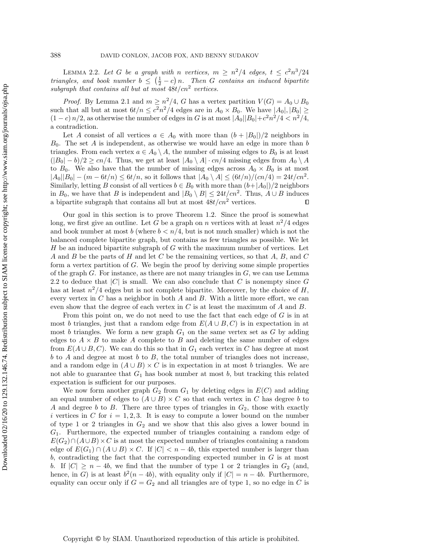LEMMA 2.2. Let G be a graph with n vertices,  $m \geq n^2/4$  edges,  $t \leq c^2 n^3/24$ triangles, and book number  $b \leq (\frac{1}{2} - c) n$ . Then G contains an induced bipartite subgraph that contains all but at most  $48t/cm^2$  vertices.

*Proof.* By Lemma [2.1](#page-2-0) and  $m \geq n^2/4$ , G has a vertex partition  $V(G) = A_0 \cup B_0$ such that all but at most  $6t/n \leq c^2n^2/4$  edges are in  $A_0 \times B_0$ . We have  $|A_0|, |B_0| \geq$  $(1 - c) n/2$ , as otherwise the number of edges in G is at most  $|A_0||B_0| + c^2 n^2/4 < n^2/4$ , a contradiction.

Let A consist of all vertices  $a \in A_0$  with more than  $(b + |B_0|) / 2$  neighbors in  $B_0$ . The set A is independent, as otherwise we would have an edge in more than b triangles. From each vertex  $a \in A_0 \setminus A$ , the number of missing edges to  $B_0$  is at least  $(|B_0| - b)/2 \geq c\frac{n}{4}$ . Thus, we get at least  $| A_0 \setminus A | \cdot c\frac{n}{4}$  missing edges from  $A_0 \setminus A$ to  $B_0$ . We also have that the number of missing edges across  $A_0 \times B_0$  is at most  $|A_0||B_0| - (m - 6t/n) \leq 6t/n$ , so it follows that  $|A_0 \setminus A| \leq (6t/n)/(cn/4) = 24t/cn^2$ . Similarly, letting B consist of all vertices  $b \in B_0$  with more than  $(b+|A_0|)/2$  neighbors in  $B_0$ , we have that B is independent and  $|B_0 \setminus B| \leq 24t/cn^2$ . Thus,  $A \cup B$  induces a bipartite subgraph that contains all but at most  $48t/cn^2$  vertices.  $\Box$ 

Our goal in this section is to prove Theorem [1.2.](#page-1-2) Since the proof is somewhat long, we first give an outline. Let G be a graph on n vertices with at least  $n^2/4$  edges and book number at most  $b$  (where  $b < n/4$ , but is not much smaller) which is not the balanced complete bipartite graph, but contains as few triangles as possible. We let  $H$  be an induced bipartite subgraph of  $G$  with the maximum number of vertices. Let A and B be the parts of H and let C be the remaining vertices, so that A, B, and C form a vertex partition of G. We begin the proof by deriving some simple properties of the graph  $G$ . For instance, as there are not many triangles in  $G$ , we can use Lemma [2.2](#page-2-1) to deduce that  $|C|$  is small. We can also conclude that C is nonempty since G has at least  $n^2/4$  edges but is not complete bipartite. Moreover, by the choice of H, every vertex in  $C$  has a neighbor in both  $A$  and  $B$ . With a little more effort, we can even show that the degree of each vertex in  $C$  is at least the maximum of  $A$  and  $B$ .

From this point on, we do not need to use the fact that each edge of  $G$  is in at most b triangles, just that a random edge from  $E(A \cup B, C)$  is in expectation in at most b triangles. We form a new graph  $G_1$  on the same vertex set as G by adding edges to  $A \times B$  to make A complete to B and deleting the same number of edges from  $E(A \cup B, C)$ . We can do this so that in  $G_1$  each vertex in C has degree at most  $b$  to  $A$  and degree at most  $b$  to  $B$ , the total number of triangles does not increase, and a random edge in  $(A \cup B) \times C$  is in expectation in at most b triangles. We are not able to guarantee that  $G_1$  has book number at most b, but tracking this related expectation is sufficient for our purposes.

We now form another graph  $G_2$  from  $G_1$  by deleting edges in  $E(C)$  and adding an equal number of edges to  $(A \cup B) \times C$  so that each vertex in C has degree b to A and degree b to B. There are three types of triangles in  $G_2$ , those with exactly i vertices in C for  $i = 1, 2, 3$ . It is easy to compute a lower bound on the number of type 1 or 2 triangles in  $G_2$  and we show that this also gives a lower bound in  $G_1$ . Furthermore, the expected number of triangles containing a random edge of  $E(G_2)\cap (A\cup B)\times C$  is at most the expected number of triangles containing a random edge of  $E(G_1) \cap (A \cup B) \times C$ . If  $|C| < n - 4b$ , this expected number is larger than  $b$ , contradicting the fact that the corresponding expected number in  $G$  is at most b. If  $|C| \geq n - 4b$ , we find that the number of type 1 or 2 triangles in  $G_2$  (and, hence, in G) is at least  $b^2(n-4b)$ , with equality only if  $|C| = n - 4b$ . Furthermore, equality can occur only if  $G = G_2$  and all triangles are of type 1, so no edge in C is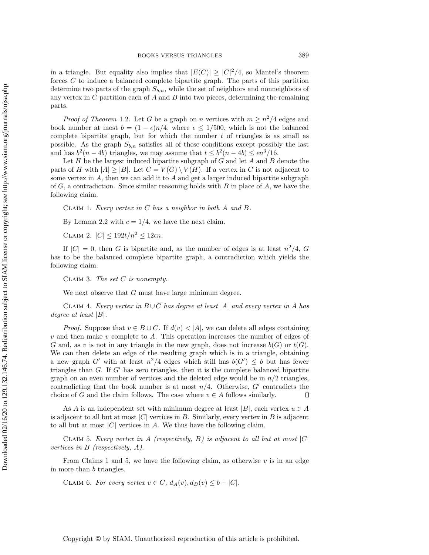in a triangle. But equality also implies that  $|E(C)| \geq |C|^2/4$ , so Mantel's theorem forces C to induce a balanced complete bipartite graph. The parts of this partition determine two parts of the graph  $S_{b,n}$ , while the set of neighbors and nonneighbors of any vertex in  $C$  partition each of  $A$  and  $B$  into two pieces, determining the remaining parts.

*Proof of Theorem* [1.2](#page-1-2). Let G be a graph on n vertices with  $m \geq n^2/4$  edges and book number at most  $b = (1 - \epsilon) n/4$ , where  $\epsilon \leq 1/500$ , which is not the balanced complete bipartite graph, but for which the number  $t$  of triangles is as small as possible. As the graph  $S_{b,n}$  satisfies all of these conditions except possibly the last and has  $b^2(n - 4b)$  triangles, we may assume that  $t \leq b^2(n - 4b) \leq \epsilon n^3/16$ .

Let  $H$  be the largest induced bipartite subgraph of  $G$  and let  $A$  and  $B$  denote the parts of H with  $|A| \geq |B|$ . Let  $C = V(G) \setminus V(H)$ . If a vertex in C is not adjacent to some vertex in  $A$ , then we can add it to  $A$  and get a larger induced bipartite subgraph of  $G$ , a contradiction. Since similar reasoning holds with  $B$  in place of  $A$ , we have the following claim.

<span id="page-4-0"></span>CLAIM 1. Every vertex in  $C$  has a neighbor in both  $A$  and  $B$ .

By Lemma [2.2](#page-2-1) with  $c = 1/4$ , we have the next claim.

<span id="page-4-3"></span>CLAIM 2.  $|C| \leq 192t/n^2 \leq 12\epsilon n$ .

If  $|C| = 0$ , then G is bipartite and, as the number of edges is at least  $n^2/4$ , G has to be the balanced complete bipartite graph, a contradiction which yields the following claim.

CLAIM 3. The set  $C$  is nonempty.

We next observe that  $G$  must have large minimum degree.

<span id="page-4-2"></span>CLAIM 4. Every vertex in  $B\cup C$  has degree at least  $|A|$  and every vertex in A has degree at least  $|B|$ .

*Proof.* Suppose that  $v \in B \cup C$ . If  $d(v) < |A|$ , we can delete all edges containing  $v$  and then make  $v$  complete to  $A$ . This operation increases the number of edges of G and, as v is not in any triangle in the new graph, does not increase  $b(G)$  or  $t(G)$ . We can then delete an edge of the resulting graph which is in a triangle, obtaining a new graph G' with at least  $n^2/4$  edges which still has  $b(G') \leq b$  but has fewer triangles than  $G$ . If  $G'$  has zero triangles, then it is the complete balanced bipartite graph on an even number of vertices and the deleted edge would be in  $n/2$  triangles, contradicting that the book number is at most  $n/4$ . Otherwise, G' contradicts the choice of G and the claim follows. The case where  $v \in A$  follows similarly.  $\Box$ 

As A is an independent set with minimum degree at least  $|B|$ , each vertex  $u \in A$ is adjacent to all but at most  $|C|$  vertices in B. Similarly, every vertex in B is adjacent to all but at most  $|C|$  vertices in A. We thus have the following claim.

<span id="page-4-1"></span>CLAIM 5. Every vertex in A (respectively, B) is adjacent to all but at most  $|C|$ vertices in B (respectively, A).

From Claims [1](#page-4-0) and [5,](#page-4-1) we have the following claim, as otherwise  $v$  is in an edge in more than b triangles.

CLAIM 6. For every vertex  $v \in C$ ,  $d_A(v)$ ,  $d_B(v) \leq b + |C|$ .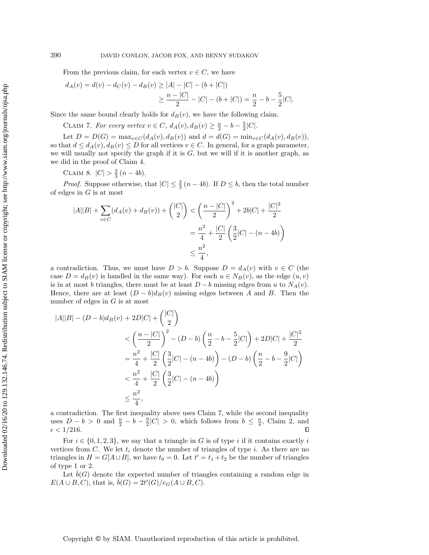From the previous claim, for each vertex  $v \in C$ , we have

$$
d_A(v) = d(v) - d_C(v) - d_B(v) \ge |A| - |C| - (b + |C|)
$$
  
 
$$
\ge \frac{n - |C|}{2} - |C| - (b + |C|) = \frac{n}{2} - b - \frac{5}{2}|C|.
$$

<span id="page-5-0"></span>Since the same bound clearly holds for  $d_B(v)$ , we have the following claim.

CLAIM 7. For every vertex  $v \in C$ ,  $d_A(v)$ ,  $d_B(v) \geq \frac{n}{2} - b - \frac{5}{2}|C|$ .

Let  $D = D(G) = \max_{v \in C} (d_A(v), d_B(v))$  and  $d = d(G) = \min_{v \in C} (d_A(v), d_B(v)),$ so that  $d \leq d_A(v), d_B(v) \leq D$  for all vertices  $v \in C$ . In general, for a graph parameter, we will usually not specify the graph if it is  $G$ , but we will if it is another graph, as we did in the proof of Claim [4.](#page-4-2)

<span id="page-5-2"></span>CLAIM 8.  $|C| > \frac{2}{3}(n-4b)$ .

*Proof.* Suppose otherwise, that  $|C| \leq \frac{2}{3}(n - 4b)$ . If  $D \leq b$ , then the total number of edges in  $G$  is at most

$$
|A||B| + \sum_{v \in C} (d_A(v) + d_B(v)) + {|C| \choose 2} < \left(\frac{n-|C|}{2}\right)^2 + 2b|C| + \frac{|C|^2}{2}
$$
  
=  $\frac{n^2}{4} + \frac{|C|}{2} \left(\frac{3}{2}|C| - (n-4b)\right)$   
 $\leq \frac{n^2}{4},$ 

a contradiction. Thus, we must have  $D > b$ . Suppose  $D = d_A(v)$  with  $v \in C$  (the case  $D = d_B(v)$  is handled in the same way). For each  $u \in N_B(v)$ , as the edge  $(u, v)$ is in at most b triangles, there must be at least  $D - b$  missing edges from u to  $N_A(v)$ . Hence, there are at least  $(D - b)d_B(v)$  missing edges between A and B. Then the number of edges in G is at most

$$
|A||B| - (D - b)d_B(v) + 2D|C| + \binom{|C|}{2}
$$
  

$$
< \left(\frac{n - |C|}{2}\right)^2 - (D - b)\left(\frac{n}{2} - b - \frac{5}{2}|C|\right) + 2D|C| + \frac{|C|^2}{2}
$$
  

$$
= \frac{n^2}{4} + \frac{|C|}{2}\left(\frac{3}{2}|C| - (n - 4b)\right) - (D - b)\left(\frac{n}{2} - b - \frac{9}{2}|C|\right)
$$
  

$$
< \frac{n^2}{4} + \frac{|C|}{2}\left(\frac{3}{2}|C| - (n - 4b)\right)
$$
  

$$
\leq \frac{n^2}{4},
$$

a contradiction. The first inequality above uses Claim [7,](#page-5-0) while the second inequality uses  $D - b > 0$  and  $\frac{n}{2} - b - \frac{9}{2}|C| > 0$ , which follows from  $b \leq \frac{n}{4}$ , Claim [2,](#page-4-3) and  $\epsilon < 1/216$ .  $\Box$ 

For  $i \in \{ 0, 1, 2, 3\}$ , we say that a triangle in G is of type i if it contains exactly i vertices from C. We let  $t_i$  denote the number of triangles of type i. As there are no triangles in  $H = G[A \cup B]$ , we have  $t_0 = 0$ . Let  $t' = t_1 + t_2$  be the number of triangles of type 1 or 2.

<span id="page-5-1"></span>Let  $\bar{b}(G)$  denote the expected number of triangles containing a random edge in  $E(A \cup B, C)$ , that is,  $\overline{b}(G) = 2t'(G)/e_G(A \cup B, C)$ .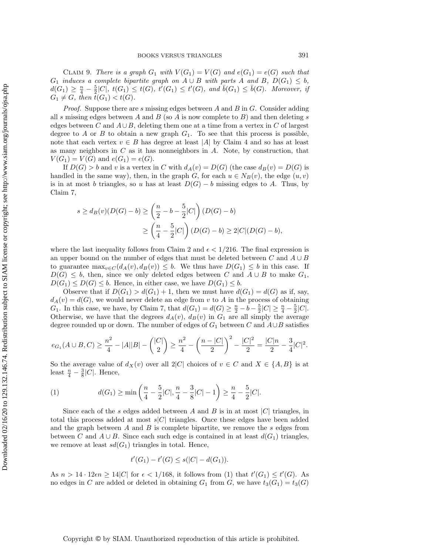CLAIM 9. There is a graph  $G_1$  with  $V(G_1) = V(G)$  and  $e(G_1) = e(G)$  such that  $G_1$  induces a complete bipartite graph on  $A \cup B$  with parts A and B,  $D(G_1) \leq b$ ,  $d(G_1) \geq \frac{n}{4} - \frac{5}{2}|C|, t(G_1) \leq t(G), t'(G_1) \leq t'(G), \text{ and } \bar{b}(G_1) \leq \bar{b}(G).$  Moreover, if  $G_1 \neq G$ , then  $t(G_1) < t(G)$ .

*Proof.* Suppose there are s missing edges between A and B in G. Consider adding all s missing edges between A and B (so A is now complete to  $B$ ) and then deleting s edges between C and  $A\cup B$ , deleting them one at a time from a vertex in C of largest degree to  $A$  or  $B$  to obtain a new graph  $G_1$ . To see that this process is possible, note that each vertex  $v \in B$  has degree at least  $|A|$  by Claim [4](#page-4-2) and so has at least as many neighbors in  $C$  as it has nonneighbors in  $A$ . Note, by construction, that  $V(G_1) = V(G)$  and  $e(G_1) = e(G)$ .

If  $D(G) > b$  and v is a vertex in C with  $d_A(v) = D(G)$  (the case  $d_B(v) = D(G)$  is handled in the same way), then, in the graph G, for each  $u \in N_B(v)$ , the edge  $(u, v)$ is in at most b triangles, so u has at least  $D(G) - b$  missing edges to A. Thus, by Claim [7,](#page-5-0)

$$
s \ge d_B(v)(D(G) - b) \ge \left(\frac{n}{2} - b - \frac{5}{2}|C|\right)(D(G) - b)
$$
  
 
$$
\ge \left(\frac{n}{4} - \frac{5}{2}|C|\right)(D(G) - b) \ge 2|C|(D(G) - b),
$$

where the last inequality follows from Claim [2](#page-4-3) and  $\epsilon < 1/216$ . The final expression is an upper bound on the number of edges that must be deleted between C and  $A \cup B$ to guarantee  $\max_{v \in C} (d_A(v), d_B(v)) \leq b$ . We thus have  $D(G_1) \leq b$  in this case. If  $D(G) \leq b$ , then, since we only deleted edges between C and  $A \cup B$  to make  $G_1$ ,  $D(G_1) \leq D(G) \leq b$ . Hence, in either case, we have  $D(G_1) \leq b$ .

Observe that if  $D(G_1) > d(G_1) + 1$ , then we must have  $d(G_1) = d(G)$  as if, say,  $d_A(v) = d(G)$ , we would never delete an edge from v to A in the process of obtaining  $G_1$ . In this case, we have, by Claim [7,](#page-5-0) that  $d(G_1) = d(G) \geq \frac{n}{2} - b - \frac{5}{2}|C| \geq \frac{n}{4} - \frac{5}{2}|C|$ . Otherwise, we have that the degrees  $d_A(v)$ ,  $d_B(v)$  in  $G_1$  are all simply the average degree rounded up or down. The number of edges of  $G_1$  between C and  $A\cup B$  satisfies

$$
e_{G_1}(A\cup B,C)\geq \frac{n^2}{4}-|A||B|-\binom{|C|}{2}\geq \frac{n^2}{4}-\left(\frac{n-|C|}{2}\right)^2-\frac{|C|^2}{2}=\frac{|C|n}{2}-\frac{3}{4}|C|^2.
$$

So the average value of  $d_X(v)$  over all  $2|C|$  choices of  $v \in C$  and  $X \in \{A, B\}$  is at least  $\frac{n}{4} - \frac{3}{8}|C|$ . Hence,

<span id="page-6-0"></span>(1) 
$$
d(G_1) \ge \min\left(\frac{n}{4} - \frac{5}{2}|C|, \frac{n}{4} - \frac{3}{8}|C| - 1\right) \ge \frac{n}{4} - \frac{5}{2}|C|.
$$

Since each of the s edges added between A and B is in at most  $|C|$  triangles, in total this process added at most  $s|C|$  triangles. Once these edges have been added and the graph between  $A$  and  $B$  is complete bipartite, we remove the  $s$  edges from between C and  $A \cup B$ . Since each such edge is contained in at least  $d(G_1)$  triangles, we remove at least  $sd(G_1)$  triangles in total. Hence,

$$
t'(G_1) - t'(G) \le s(|C| - d(G_1)).
$$

As  $n > 14 \cdot 12\epsilon n \geq 14|C|$  for  $\epsilon < 1/168$ , it follows from [\(1\)](#page-6-0) that  $t'(G_1) \leq t'(G)$ . As no edges in C are added or deleted in obtaining  $G_1$  from G, we have  $t_3(G_1) = t_3(G)$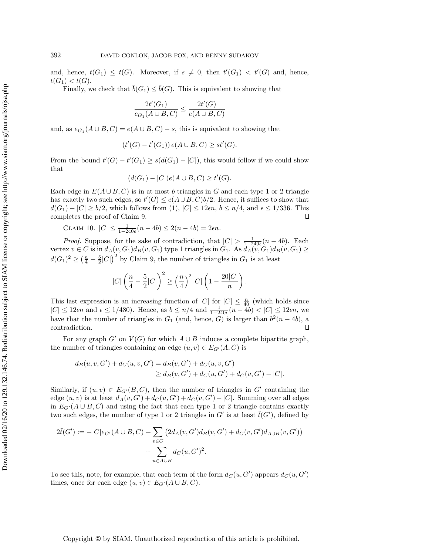and, hence,  $t(G_1) \leq t(G)$ . Moreover, if  $s \neq 0$ , then  $t'(G_1) < t'(G)$  and, hence,  $t(G_1) < t(G)$ .

Finally, we check that  $\bar{b}(G_1) \leq \bar{b}(G)$ . This is equivalent to showing that

$$
\frac{2t'(G_1)}{e_{G_1}(A\cup B, C)} \le \frac{2t'(G)}{e(A\cup B, C)}
$$

and, as  $e_{G_1}(A \cup B, C) = e(A \cup B, C) - s$ , this is equivalent to showing that

$$
(t'(G) - t'(G_1)) e(A \cup B, C) \ge st'(G).
$$

From the bound  $t'(G) - t'(G_1) \geq s(d(G_1) - |C|)$ , this would follow if we could show that

$$
(d(G_1) - |C|)e(A \cup B, C) \ge t'(G).
$$

Each edge in  $E(A \cup B, C)$  is in at most b triangles in G and each type 1 or 2 triangle has exactly two such edges, so  $t'(G) \leq e(A \cup B, C)b/2$ . Hence, it suffices to show that  $d(G_1) - |C| \geq b/2$ , which follows from [\(1\)](#page-6-0),  $|C| \leq 12\epsilon n, b \leq n/4$ , and  $\epsilon \leq 1/336$ . This completes the proof of Claim [9.](#page-5-1)  $\Box$ 

<span id="page-7-0"></span>CLAIM 10.  $|C| \leq \frac{1}{1 - 240\epsilon}(n - 4b) \leq 2(n - 4b) = 2\epsilon n$ .

*Proof.* Suppose, for the sake of contradiction, that  $|C| > \frac{1}{1-240\epsilon}(n-4b)$ . Each vertex  $v \in C$  is in  $d_A(v, G_1)d_B(v, G_1)$  type 1 triangles in  $G_1$ . As  $d_A(v, G_1)d_B(v, G_1) \geq$  $d(G_1)^2 \geq (\frac{n}{4} - \frac{5}{2}|C|)^2$  by Claim [9,](#page-5-1) the number of triangles in  $G_1$  is at least

$$
|C|\left(\frac{n}{4}-\frac{5}{2}|C|\right)^2 \ge \left(\frac{n}{4}\right)^2|C|\left(1-\frac{20|C|}{n}\right).
$$

This last expression is an increasing function of  $|C|$  for  $|C| \leq \frac{n}{40}$  (which holds since  $|C| \leq 12\epsilon n$  and  $\epsilon \leq 1/480$ . Hence, as  $b \leq n/4$  and  $\frac{1}{1 - 240\epsilon}(n - 4b) < |C| \leq 12\epsilon n$ , we have that the number of triangles in  $G_1$  (and, hence, G) is larger than  $b^2(n-4b)$ , a contradiction.  $\Box$ 

For any graph  $G'$  on  $V (G)$  for which  $A \cup B$  induces a complete bipartite graph, the number of triangles containing an edge  $(u, v) \in E_{G'}(A, C)$  is

$$
d_B(u, v, G') + d_C(u, v, G') = d_B(v, G') + d_C(u, v, G')
$$
  
\n
$$
\geq d_B(v, G') + d_C(u, G') + d_C(v, G') - |C|.
$$

Similarly, if  $(u, v) \in E_{G'}(B, C)$ , then the number of triangles in G' containing the edge  $(u, v)$  is at least  $d_A(v, G') + d_C(u, G') + d_C(v, G') - |C|$ . Summing over all edges in  $E_{G'}(A \cup B, C)$  and using the fact that each type 1 or 2 triangle contains exactly two such edges, the number of type 1 or 2 triangles in  $G'$  is at least  $\tilde{t}(G')$ , defined by

$$
2\tilde{t}(G') := -|C|e_{G'}(A \cup B, C) + \sum_{v \in C} (2d_A(v, G')d_B(v, G') + d_C(v, G')d_{A \cup B}(v, G')) + \sum_{u \in A \cup B} d_C(u, G')^2.
$$

To see this, note, for example, that each term of the form  $d_C(u, G')$  appears  $d_C(u, G')$ times, once for each edge  $(u, v) \in E_{G'}(A \cup B, C)$ .

Copyright © by SIAM. Unauthorized reproduction of this article is prohibited.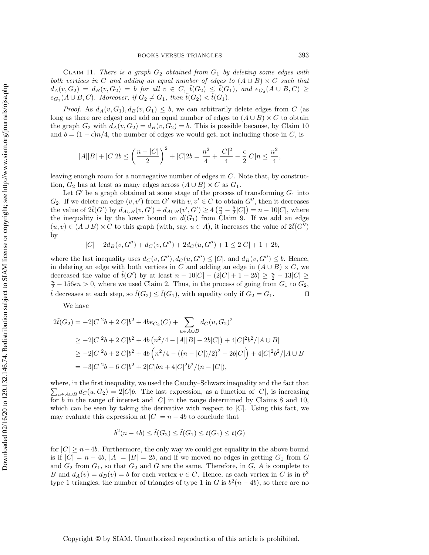CLAIM 11. There is a graph  $G_2$  obtained from  $G_1$  by deleting some edges with both vertices in C and adding an equal number of edges to  $(A \cup B) \times C$  such that  $d_A(v, G_2) = d_B(v, G_2) = b$  for all  $v \in C$ ,  $\tilde{t}(G_2) \leq \tilde{t}(G_1)$ , and  $e_{G_2}(A \cup B, C) \geq$  $e_{G_1}(A \cup B, C)$ . Moreover, if  $G_2 \neq G_1$ , then  $\tilde{t}(G_2) < \tilde{t}(G_1)$ .

*Proof.* As  $d_A(v, G_1), d_B(v, G_1) \leq b$ , we can arbitrarily delete edges from C (as long as there are edges) and add an equal number of edges to  $(A \cup B) \times C$  to obtain the graph  $G_2$  with  $d_A(v, G_2) = d_B(v, G_2) = b$ . This is possible because, by Claim [10](#page-7-0) and  $b = (1 - \epsilon)n/4$ , the number of edges we would get, not including those in C, is

$$
|A||B|+|C|2b\leq \left(\frac{n-|C|}{2}\right)^2+|C|2b=\frac{n^2}{4}+\frac{|C|^2}{4}-\frac{\epsilon}{2}|C|n\leq \frac{n^2}{4},
$$

leaving enough room for a nonnegative number of edges in  $C$ . Note that, by construction,  $G_2$  has at least as many edges across  $(A \cup B) \times C$  as  $G_1$ .

Let  $G'$  be a graph obtained at some stage of the process of transforming  $G_1$  into  $G_2$ . If we delete an edge  $(v, v')$  from G' with  $v, v' \in C$  to obtain G'', then it decreases the value of  $2\tilde{t}(G')$  by  $d_{A\cup B}(v, G') + d_{A\cup B}(v', G') \geq 4\left(\frac{n}{4} - \frac{5}{2}|C|\right) = n - 10|C|$ , where the inequality is by the lower bound on  $d(G_1)$  from Claim [9.](#page-5-1) If we add an edge  $(u, v) \in (A \cup B) \times C$  to this graph (with, say,  $u \in A$ ), it increases the value of  $2t\~(G\prime \prime \prime )$ by

$$
-|C| + 2d_B(v, G'') + d_C(v, G'') + 2d_C(u, G'') + 1 \le 2|C| + 1 + 2b,
$$

where the last inequality uses  $d_C (v, G'')$ ,  $d_C (u, G'') \leq | C |$ , and  $d_B(v, G'') \leq b$ . Hence, in deleting an edge with both vertices in C and adding an edge in  $(A \cup B) \times C$ , we decreased the value of  $\tilde{t}(G')$  by at least  $n - 10|C| - (2|C| + 1 + 2b) \geq \frac{n}{2} - 13|C| \geq$  $\frac{n}{2} - 156\epsilon n > 0$ , where we used Claim [2.](#page-4-3) Thus, in the process of going from  $G_1$  to  $G_2$ ,  $\tilde{t}$  decreases at each step, so  $\tilde{t}(G_2) \leq \tilde{t}(G_1)$ , with equality only if  $G_2 = G_1$ .  $\Box$ 

We have

$$
2\tilde{t}(G_2) = -2|C|^2b + 2|C|b^2 + 4be_{G_2}(C) + \sum_{u \in A \cup B} d_C(u, G_2)^2
$$
  
\n
$$
\geq -2|C|^2b + 2|C|b^2 + 4b(n^2/4 - |A||B| - 2b|C|) + 4|C|^2b^2/|A \cup B|
$$
  
\n
$$
\geq -2|C|^2b + 2|C|b^2 + 4b(n^2/4 - ((n - |C|)/2)^2 - 2b|C|) + 4|C|^2b^2/|A \cup B|
$$
  
\n
$$
= -3|C|^2b - 6|C|b^2 + 2|C|bn + 4|C|^2b^2/(n - |C|),
$$

where, in the first inequality, we used the Cauchy-Schwarz inequality and the fact that  $\sum_{u\in A\cup B} d_C (u, G_2) = 2|C| b.$  The last expression, as a function of  $|C|$ , is increasing for  $b$  in the range of interest and  $|C|$  in the range determined by Claims [8](#page-5-2) and [10,](#page-7-0) which can be seen by taking the derivative with respect to  $|C|$ . Using this fact, we may evaluate this expression at  $|C| = n - 4b$  to conclude that

$$
b^{2}(n - 4b) \leq \tilde{t}(G_{2}) \leq \tilde{t}(G_{1}) \leq t(G_{1}) \leq t(G)
$$

for  $|C| \geq n - 4b$ . Furthermore, the only way we could get equality in the above bound is if  $|C| = n - 4b$ ,  $|A| = |B| = 2b$ , and if we moved no edges in getting  $G_1$  from G and  $G_2$  from  $G_1$ , so that  $G_2$  and G are the same. Therefore, in  $G$ , A is complete to B and  $d_A(v) = d_B(v) = b$  for each vertex  $v \in C$ . Hence, as each vertex in C is in  $b^2$ type 1 triangles, the number of triangles of type 1 in G is  $b^2(n-4b)$ , so there are no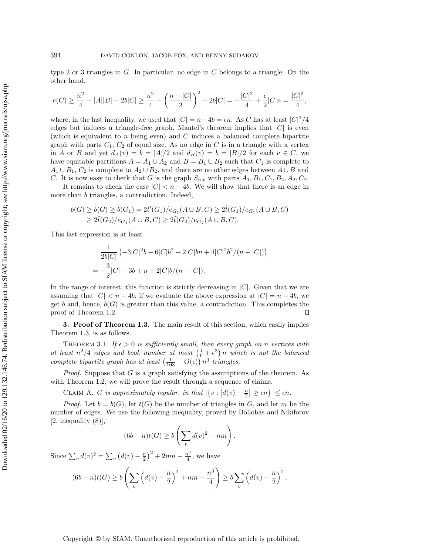type 2 or 3 triangles in  $G$ . In particular, no edge in  $C$  belongs to a triangle. On the other hand,

$$
e(C) \geq \frac{n^2}{4} - |A||B| - 2b|C| \geq \frac{n^2}{4} - \left(\frac{n-|C|}{2}\right)^2 - 2b|C| = -\frac{|C|^2}{4} + \frac{\epsilon}{2}|C|n = \frac{|C|^2}{4},
$$

where, in the last inequality, we used that  $|C| = n - 4b = \epsilon n$ . As C has at least  $|C|^2/4$ edges but induces a triangle-free graph, Mantel's theorem implies that  $|C|$  is even (which is equivalent to n being even) and  $C$  induces a balanced complete bipartite graph with parts  $C_1$ ,  $C_2$  of equal size. As no edge in  $C$  is in a triangle with a vertex in A or B and yet  $d_A(v) = b = |A|/2$  and  $d_B(v) = b = |B|/2$  for each  $v \in C$ , we have equitable partitions  $A = A_1 \cup A_2$  and  $B = B_1 \cup B_2$  such that  $C_1$  is complete to  $A_1 \cup B_1$ ,  $C_2$  is complete to  $A_2 \cup B_2$ , and there are no other edges between  $A \cup B$  and C. It is now easy to check that G is the graph  $S_{n,b}$  with parts  $A_1, B_1, C_1, B_2, A_2, C_2$ .

It remains to check the case  $|C| < n - 4b$ . We will show that there is an edge in more than b triangles, a contradiction. Indeed,

$$
b(G) \ge \bar{b}(G) \ge \bar{b}(G_1) = 2t'(G_1)/e_{G_1}(A \cup B, C) \ge 2\tilde{t}(G_1)/e_{G_1}(A \cup B, C)
$$
  
 
$$
\ge 2\tilde{t}(G_2)/e_{G_1}(A \cup B, C) \ge 2\tilde{t}(G_2)/e_{G_2}(A \cup B, C).
$$

This last expression is at least

$$
\frac{1}{2b|C|} \left(-3|C|^2b - 6|C|b^2 + 2|C|bn + 4|C|^2b^2/(n - |C|)\right)
$$
  
=  $-\frac{3}{2}|C| - 3b + n + 2|C|b/(n - |C|).$ 

In the range of interest, this function is strictly decreasing in  $|C|$ . Given that we are assuming that  $|C| < n - 4b$ , if we evaluate the above expression at  $|C| = n - 4b$ , we get b and, hence,  $b(G)$  is greater than this value, a contradiction. This completes the proof of Theorem [1.2.](#page-1-2)  $\Box$ 

<span id="page-9-1"></span>**3. Proof of Theorem [1.3.](#page-2-2)** The main result of this section, which easily implies Theorem [1.3,](#page-2-2) is as follows.

THEOREM 3.1. If  $\epsilon > 0$  is sufficiently small, then every graph on n vertices with at least  $n^2/4$  edges and book number at most  $\left(\frac{1}{6} + \epsilon^3\right)n$  which is not the balanced complete bipartite graph has at least  $\left( \frac{1}{108} - O(\epsilon) \right) n^3$  triangles.

*Proof.* Suppose that  $G$  is a graph satisfying the assumptions of the theorem. As with Theorem [1.2,](#page-1-2) we will prove the result through a sequence of claims.

<span id="page-9-0"></span>CLAIM A. G is approximately regular, in that  $|\{ v : |d(v) - \frac{n}{2}| \geq \epsilon n \}| \leq \epsilon n$ .

*Proof.* Let  $b = b(G)$ , let  $t(G)$  be the number of triangles in G, and let m be the number of edges. We use the following inequality, proved by Bollobás and Nikiforov  $[2,$  inequality  $(8)$ ,

$$
(6b - n)t(G) \ge b\left(\sum_v d(v)^2 - nm\right).
$$

Since  $\sum_v d(v)^2 = \sum_v (d(v) - \frac{n}{2})^2 + 2mn - \frac{n^3}{4}$  $\frac{i^{\circ}}{4}$ , we have

$$
(6b - n)t(G) \ge b\left(\sum_{v} \left(d(v) - \frac{n}{2}\right)^2 + nm - \frac{n^3}{4}\right) \ge b\sum_{v} \left(d(v) - \frac{n}{2}\right)^2
$$

.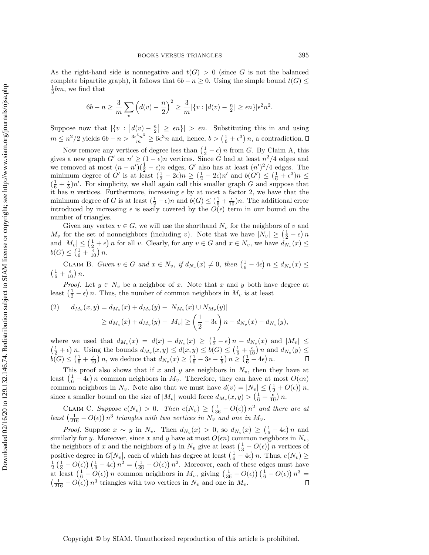As the right-hand side is nonnegative and  $t(G) > 0$  (since G is not the balanced complete bipartite graph), it follows that  $6b - n \geq 0$ . Using the simple bound  $t(G) \leq$  $\frac{1}{3}$ bm, we find that

$$
6b - n \ge \frac{3}{m} \sum_{v} \left( d(v) - \frac{n}{2} \right)^2 \ge \frac{3}{m} |\{v : |d(v) - \frac{n}{2}| \ge \epsilon n\} |\epsilon^2 n^2.
$$

Suppose now that  $|\{ v : |d(v) - \frac{n}{2}| \geq \epsilon n \}| > \epsilon n$ . Substituting this in and using  $m \leq n^2/2$  yields  $6b - n > \frac{3\epsilon^3 n^3}{m} \geq 6\epsilon^3 n$  and, hence,  $b > (\frac{1}{6} + \epsilon^3) n$ , a contradiction.

Now remove any vertices of degree less than  $\left( \frac{1}{2} - \epsilon \right) n$  from G. By Claim [A,](#page-9-0) this gives a new graph  $G'$  on  $n' \geq (1 - \epsilon)n$  vertices. Since G had at least  $n^2/4$  edges and we removed at most  $(n - n')(\frac{1}{2} - \epsilon)n$  edges, G' also has at least  $(n')^2/4$  edges. The minimum degree of G' is at least  $(\frac{1}{2} - 2\epsilon)n \geq (\frac{1}{2} - 2\epsilon)n'$  and  $b(G') \leq (\frac{1}{6} + \epsilon^3)n \leq$  $(\frac{1}{6} + \frac{1}{5})n'$ . For simplicity, we shall again call this smaller graph G and suppose that it has n vertices. Furthermore, increasing  $\epsilon$  by at most a factor 2, we have that the minimum degree of G is at least  $(\frac{1}{2} - \epsilon)n$  and  $b(G) \leq (\frac{1}{6} + \frac{\epsilon}{10})n$ . The additional error introduced by increasing  $\epsilon$  is easily covered by the  $O(\epsilon)$  term in our bound on the number of triangles.

Given any vertex  $v \in G$ , we will use the shorthand  $N_v$  for the neighbors of v and  $M_v$  for the set of nonneighbors (including v). Note that we have  $|N_v| \geq \left( \frac{1}{2} - \epsilon \right) n$ and  $|M_v| \leq (\frac{1}{2} + \epsilon) n$  for all v. Clearly, for any  $v \in G$  and  $x \in N_v$ , we have  $d_{N_v}(x) \leq$  $b(G) \leq \left( \frac{1}{6} + \frac{\epsilon}{10} \right) n.$ 

<span id="page-10-0"></span>CLAIM B. Given  $v \in G$  and  $x \in N_v$ , if  $d_{N_v}(x) \neq 0$ , then  $\left( \frac{1}{6} - 4\epsilon \right) n \leq d_{N_v}(x) \leq$  $\left( \frac{1}{6} + \frac{\epsilon}{10} \right) n.$ 

*Proof.* Let  $y \in N_v$  be a neighbor of x. Note that x and y both have degree at least  $\left( \frac{1}{2} - \epsilon \right) n$ . Thus, the number of common neighbors in  $M_v$  is at least

<span id="page-10-2"></span>(2) 
$$
d_{M_v}(x, y) = d_{M_v}(x) + d_{M_v}(y) - |N_{M_v}(x) \cup N_{M_v}(y)|
$$
  
 
$$
\geq d_{M_v}(x) + d_{M_v}(y) - |M_v| \geq \left(\frac{1}{2} - 3\epsilon\right) n - d_{N_v}(x) - d_{N_v}(y),
$$

where we used that  $d_{M_v}(x) = d(x) - d_{N_v}(x) \geq (\frac{1}{2} - \epsilon) n - d_{N_v}(x)$  and  $|M_v| \leq$  $\left( \frac{1}{2} + \epsilon \right) n$ . Using the bounds  $d_{M_v}(x, y) \leq d(x, y) \leq b(G) \leq \left( \frac{1}{6} + \frac{\epsilon}{10} \right) n$  and  $d_{N_v}(y) \leq$  $b(G) \leq \left( \frac{1}{6} + \frac{\epsilon}{10} \right) n$ , we deduce that  $d_{N_v}(x) \geq \left( \frac{1}{6} - 3\epsilon - \frac{\epsilon}{5} \right) n \geq \left( \frac{1}{6} - 4\epsilon \right) n$ .

This proof also shows that if x and y are neighbors in  $N_v$ , then they have at least  $\left( \frac{1}{6} - 4\epsilon \right) n$  common neighbors in  $M_v$ . Therefore, they can have at most  $O(\epsilon n)$ common neighbors in  $N_v$ . Note also that we must have  $d(v) = |N_v| \leq \left( \frac{1}{2} + O(\epsilon) \right) n$ , since a smaller bound on the size of  $|M_v|$  would force  $d_{M_v}(x, y) > \left(\frac{1}{6} + \frac{\epsilon}{10}\right)n$ .

<span id="page-10-3"></span>CLAIM C. Suppose  $e(N_v) > 0$ . Then  $e(N_v) \geq \left(\frac{1}{36} - O(\epsilon)\right) n^2$  and there are at least  $\left( \frac{1}{216} - O(\epsilon ) \right) n^3$  triangles with two vertices in  $N_v$  and one in  $M_v$ .

<span id="page-10-1"></span>*Proof.* Suppose  $x \sim y$  in  $N_v$ . Then  $d_{N_v}(x) > 0$ , so  $d_{N_v}(x) \geq \left(\frac{1}{6} - 4\epsilon\right)n$  and similarly for y. Moreover, since x and y have at most  $O(\epsilon n)$  common neighbors in  $N_v$ , the neighbors of x and the neighbors of y in  $N_v$  give at least  $\left( \frac{1}{3} - O(\epsilon) \right) n$  vertices of positive degree in  $G[N_v]$ , each of which has degree at least  $\left(\frac{1}{6} - 4\epsilon\right)n$ . Thus,  $e(N_v) \ge$  $\frac{1}{2} \left( \frac{1}{3} - O(\epsilon) \right) \left( \frac{1}{6} - 4\epsilon \right) n^2 = \left( \frac{1}{36} - O(\epsilon) \right) n^2$ . Moreover, each of these edges must have at least  $\left( \frac{1}{6} - O(\epsilon) \right) n$  common neighbors in  $M_v$ , giving  $\left( \frac{1}{36} - O(\epsilon) \right) \left( \frac{1}{6} - O(\epsilon) \right) n^3 =$  $\left( \frac{1}{216} - O(\epsilon) \right) n^3$  triangles with two vertices in  $N_v$  and one in  $M_v$ .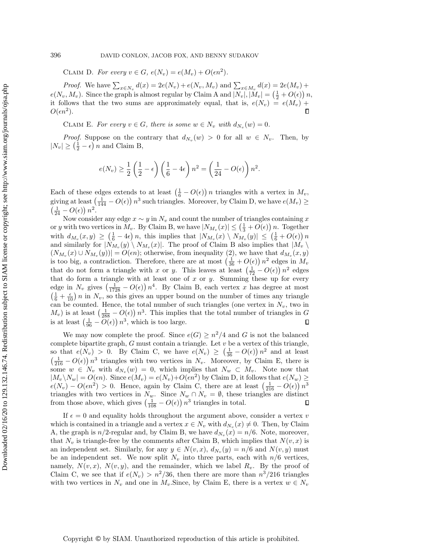CLAIM D. For every  $v \in G$ ,  $e(N_v) = e(M_v) + O(\epsilon n^2)$ .

*Proof.* We have  $\sum_{x \in N_v} d(x) = 2e(N_v) + e(N_v, M_v)$  and  $\sum_{x \in M_v} d(x) = 2e(M_v) + e(M_v)$  $e(N_v, M_v)$ . Since the graph is almost regular by Claim [A](#page-9-0) and  $|N_v|, |M_v| = \left(\frac{1}{2} + O(\epsilon)\right)n$ , it follows that the two sums are approximately equal, that is,  $e(N_v) = e(M_v) +$  $O(\epsilon n^2)$ .

<span id="page-11-0"></span>CLAIM E. For every  $v \in G$ , there is some  $w \in N_v$  with  $d_{N_v}(w) = 0$ .

*Proof.* Suppose on the contrary that  $d_{N_v}(w) > 0$  for all  $w \in N_v$ . Then, by  $|N_v| \geq \left( \frac{1}{2} - \epsilon \right) n$  and Claim [B,](#page-10-0)

$$
e(N_v) \ge \frac{1}{2} \left( \frac{1}{2} - \epsilon \right) \left( \frac{1}{6} - 4\epsilon \right) n^2 = \left( \frac{1}{24} - O(\epsilon) \right) n^2.
$$

Each of these edges extends to at least  $\left( \frac{1}{6} - O(\epsilon) \right) n$  triangles with a vertex in  $M_v$ , giving at least  $\left( \frac{1}{144} - O(\epsilon) \right) n^3$  such triangles. Moreover, by Claim [D,](#page-10-1) we have  $e(M_v) \geq$  $\left( \frac{1}{24} - O(\epsilon) \right) n^2.$ 

Now consider any edge  $x \sim y$  in  $N_v$  and count the number of triangles containing x or y with two vertices in  $M_v$ . By Claim [B,](#page-10-0) we have  $|N_{M_v}(x)| \leq \left( \frac{1}{3} + O(\epsilon) \right) n$ . Together with  $d_{M_v}(x,y) \geq \left( \frac{1}{6} - 4\epsilon \right) n$ , this implies that  $|N_{M_v}(x) \setminus N_{M_v}(y)| \leq \left( \frac{1}{6} + O(\epsilon) \right) n$ and similarly for  $|N_{M_v}(y) \setminus N_{M_v}(x)|$ . The proof of Claim [B](#page-10-0) also implies that  $|M_v \setminus$  $(N_{M_v}(x) \cup N_{M_v}(y)) = O(\epsilon n)$ ; otherwise, from inequality [\(2\)](#page-10-2), we have that  $d_{M_v}(x, y)$ is too big, a contradiction. Therefore, there are at most  $\left( \frac{1}{36} + O(\epsilon) \right) n^2$  edges in  $M_v$ that do not form a triangle with x or y. This leaves at least  $\left( \frac{1}{72} - O(\epsilon) \right) n^2$  edges that do form a triangle with at least one of  $x$  or  $y$ . Summing these up for every edge in  $N_v$  gives  $\left( \frac{1}{1728} - O(\epsilon) \right) n^4$ . By Claim [B,](#page-10-0) each vertex x has degree at most  $\left( \frac{1}{6} + \frac{\epsilon}{10} \right) n$  in  $N_v$ , so this gives an upper bound on the number of times any triangle can be counted. Hence, the total number of such triangles (one vertex in  $N_v$ , two in  $(M_v)$  is at least  $\left(\frac{1}{288} - O(\epsilon)\right) n^3$ . This implies that the total number of triangles in G is at least  $\left( \frac{1}{96} - O(\epsilon) \right) n^3$ , which is too large.  $\Box$ 

We may now complete the proof. Since  $e(G) \geq n^2/4$  and G is not the balanced complete bipartite graph,  $G$  must contain a triangle. Let  $v$  be a vertex of this triangle, so that  $e(N_v) > 0$ . By Claim [C,](#page-10-3) we have  $e(N_v) \geq \left( \frac{1}{36} - O(\epsilon) \right) n^2$  and at least  $\left( \frac{1}{216} - O(\epsilon) \right) n^3$  triangles with two vertices in  $N_v$ . Moreover, by Claim [E,](#page-11-0) there is some  $w \in N_v$  with  $d_{N_v}(w) = 0$ , which implies that  $N_w \subset M_v$ . Note now that  $|M_v \backslash N_w| = O(\epsilon n)$ . Since  $e(M_v) = e(N_v)+O(\epsilon n^2)$  by Claim [D,](#page-10-1) it follows that  $e(N_w) \geq$  $e(N_v) - O(\epsilon n^2) > 0$ . Hence, again by Claim [C,](#page-10-3) there are at least  $\left(\frac{1}{216} - O(\epsilon)\right) n^3$ triangles with two vertices in  $N_w$ . Since  $N_w \cap N_v = \emptyset$ , these triangles are distinct from those above, which gives  $\left( \frac{1}{108} - O(\epsilon) \right) n^3$  triangles in total.

If  $\epsilon = 0$  and equality holds throughout the argument above, consider a vertex v which is contained in a triangle and a vertex  $x \in N_v$  with  $d_{N_v}(x) \neq 0$ . Then, by Claim [A,](#page-9-0) the graph is  $n/2$ -regular and, by Claim [B,](#page-10-0) we have  $d_{N_v}(x) = n/6$ . Note, moreover, that  $N_v$  is triangle-free by the comments after Claim [B,](#page-10-0) which implies that  $N(v, x)$  is an independent set. Similarly, for any  $y \in N(v, x)$ ,  $d_{N_v}(y) = n/6$  and  $N(v, y)$  must be an independent set. We now split  $N_v$  into three parts, each with  $n/6$  vertices, namely,  $N(v, x)$ ,  $N(v, y)$ , and the remainder, which we label  $R_v$ . By the proof of Claim [C,](#page-10-3) we see that if  $e(N_v) > n^2/36$ , then there are more than  $n^3/216$  triangles with two vertices in  $N_v$  and one in  $M_v$ . Since, by Claim [E,](#page-11-0) there is a vertex  $w \in N_v$ 

Copyright © by SIAM. Unauthorized reproduction of this article is prohibited.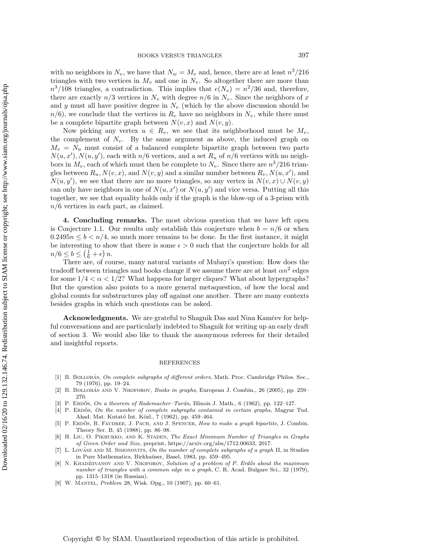with no neighbors in  $N_v$ , we have that  $N_w = M_v$  and, hence, there are at least  $n^3/216$ triangles with two vertices in  $M_v$  and one in  $N_v$ . So altogether there are more than  $n^3/108$  triangles, a contradiction. This implies that  $e(N_v) = n^2/36$  and, therefore, there are exactly  $n/3$  vertices in  $N_v$  with degree  $n/6$  in  $N_v$ . Since the neighbors of x and y must all have positive degree in  $N_v$  (which by the above discussion should be  $n/6$ , we conclude that the vertices in  $R_v$  have no neighbors in  $N_v$ , while there must be a complete bipartite graph between  $N(v, x)$  and  $N(v, y)$ .

Now picking any vertex  $u \in R_v$ , we see that its neighborhood must be  $M_v$ , the complement of  $N_v$ . By the same argument as above, the induced graph on  $M_v = N_u$  must consist of a balanced complete bipartite graph between two parts  $N(u, x'), N(u, y'),$  each with  $n/6$  vertices, and a set  $R_u$  of  $n/6$  vertices with no neighbors in  $M_v$ , each of which must then be complete to  $N_v$ . Since there are  $n^3/216$  triangles between  $R_u, N(v, x)$ , and  $N(v, y)$  and a similar number between  $R_v, N(u, x')$ , and  $N(u, y')$ , we see that there are no more triangles, so any vertex in  $N(v, x) \cup N(v, y)$ can only have neighbors in one of  $N(u, x')$  or  $N(u, y')$  and vice versa. Putting all this together, we see that equality holds only if the graph is the blow-up of a 3-prism with  $n/6$  vertices in each part, as claimed.

4. Concluding remarks. The most obvious question that we have left open is Conjecture [1.1.](#page-1-1) Our results only establish this conjecture when  $b = n/6$  or when  $0.2495n \leq b \leq n/4$ , so much more remains to be done. In the first instance, it might be interesting to show that there is some  $\epsilon > 0$  such that the conjecture holds for all  $n/6 \leq b \leq \left( \frac{1}{6} + \epsilon \right) n.$ 

There are, of course, many natural variants of Mubayi's question: How does the tradeoff between triangles and books change if we assume there are at least  $\alpha n^2$  edges for some  $1/4 < \alpha < 1/2$ ? What happens for larger cliques? What about hypergraphs? But the question also points to a more general metaquestion, of how the local and global counts for substructures play off against one another. There are many contexts besides graphs in which such questions can be asked.

Acknowledgments. We are grateful to Shagnik Das and Nina Kamčev for helpful conversations and are particularly indebted to Shagnik for writing up an early draft of section [3.](#page-9-1) We would also like to thank the anonymous referees for their detailed and insightful reports.

## REFERENCES

- <span id="page-12-3"></span>[1] B. BOLLOBÁS, On complete subgraphs of different orders, Math. Proc. Cambridge Philos. Soc., 79 (1976), pp. 19-24.
- <span id="page-12-7"></span>[2] B. BOLLOBÁS AND V. NIKIFOROV, Books in graphs, European J. Combin., 26 (2005), pp. 259-270.
- <span id="page-12-1"></span>[3] P. ERDOS, On a theorem of Rademacher-Turán, Illinois J. Math., 6 (1962), pp. 122-127.
- <span id="page-12-2"></span>[4] P. ERDOS, On the number of complete subgraphs contained in certain graphs, Magyar Tud. Akad. Mat. Kutató Int. Közl., 7 (1962), pp. 459-464.
- <span id="page-12-8"></span>P. ERDÓS, R. FAUDREE, J. PACH, AND J. SPENCER, How to make a graph bipartite, J. Combin. Theory Ser. B, 45 (1988), pp. 86-98.
- <span id="page-12-4"></span>[6] H. LIU, O. PIKHURKO, AND K. STADEN, The Exact Minimum Number of Triangles in Graphs of Given Order and Size, preprint, [https://arxiv.org/abs/1712.00633,](https://arxiv.org/abs/1712.00633) 2017.
- <span id="page-12-5"></span>L. Lovász AND M. SIMONOVITS, On the number of complete subgraphs of a graph II, in Studies in Pure Mathematics, Birkhaüser, Basel, 1983, pp. 459-495.
- <span id="page-12-6"></span>[8] N. KHADŽIIVANOV AND V. NIKIFOROV, Solution of a problem of P. Erdős about the maximum number of triangles with a common edge in a graph, C. R. Acad. Bulgare Sci., 32 (1979), pp. 1315--1318 (in Russian).
- <span id="page-12-0"></span>[9] W. MANTEL, *Problem* 28, Wisk. Opg., 10 (1907), pp. 60–61.